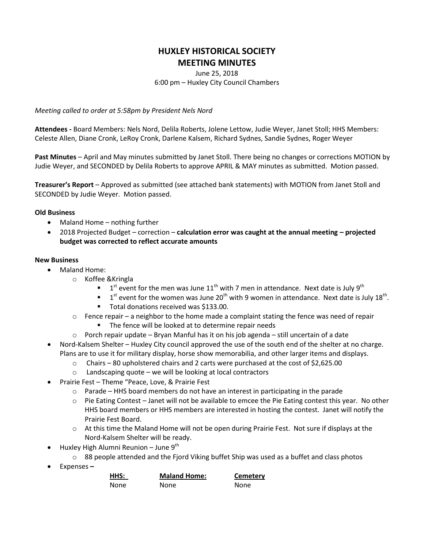## **HUXLEY HISTORICAL SOCIETY MEETING MINUTES**

June 25, 2018 6:00 pm – Huxley City Council Chambers

*Meeting called to order at 5:58pm by President Nels Nord*

**Attendees -** Board Members: Nels Nord, Delila Roberts, Jolene Lettow, Judie Weyer, Janet Stoll; HHS Members: Celeste Allen, Diane Cronk, LeRoy Cronk, Darlene Kalsem, Richard Sydnes, Sandie Sydnes, Roger Weyer

**Past Minutes** – April and May minutes submitted by Janet Stoll. There being no changes or corrections MOTION by Judie Weyer, and SECONDED by Delila Roberts to approve APRIL & MAY minutes as submitted. Motion passed.

**Treasurer's Report** – Approved as submitted (see attached bank statements) with MOTION from Janet Stoll and SECONDED by Judie Weyer. Motion passed.

## **Old Business**

- Maland Home nothing further
- 2018 Projected Budget correction **calculation error was caught at the annual meeting – projected budget was corrected to reflect accurate amounts**

## **New Business**

- Maland Home:
	- o Koffee &Kringla
		- $\blacksquare$  1<sup>st</sup> event for the men was June 11<sup>th</sup> with 7 men in attendance. Next date is July 9<sup>th</sup>
		- $\blacksquare$  1<sup>st</sup> event for the women was June 20<sup>th</sup> with 9 women in attendance. Next date is July 18<sup>th</sup>.
		- **Total donations received was \$133.00.**
	- $\circ$  Fence repair a neighbor to the home made a complaint stating the fence was need of repair
		- **The fence will be looked at to determine repair needs**
	- $\circ$  Porch repair update Bryan Manful has it on his job agenda still uncertain of a date
- Nord-Kalsem Shelter Huxley City council approved the use of the south end of the shelter at no charge. Plans are to use it for military display, horse show memorabilia, and other larger items and displays.
	- $\circ$  Chairs 80 upholstered chairs and 2 carts were purchased at the cost of \$2,625.00
	- o Landscaping quote we will be looking at local contractors
- Prairie Fest Theme "Peace, Love, & Prairie Fest
	- $\circ$  Parade HHS board members do not have an interest in participating in the parade
	- $\circ$  Pie Eating Contest Janet will not be available to emcee the Pie Eating contest this year. No other HHS board members or HHS members are interested in hosting the contest. Janet will notify the Prairie Fest Board.
	- $\circ$  At this time the Maland Home will not be open during Prairie Fest. Not sure if displays at the Nord-Kalsem Shelter will be ready.
- Huxley High Alumni Reunion June  $9<sup>th</sup>$ 
	- $\circ$  88 people attended and the Fjord Viking buffet Ship was used as a buffet and class photos
- Expenses **–**

| HHS: | <b>Maland Home:</b> | <b>Cemetery</b> |
|------|---------------------|-----------------|
| None | None                | None            |